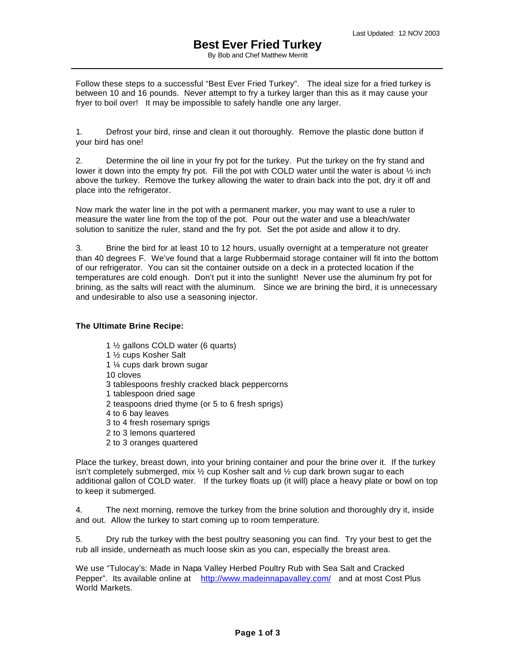Follow these steps to a successful "Best Ever Fried Turkey". The ideal size for a fried turkey is between 10 and 16 pounds. Never attempt to fry a turkey larger than this as it may cause your fryer to boil over! It may be impossible to safely handle one any larger.

1. Defrost your bird, rinse and clean it out thoroughly. Remove the plastic done button if your bird has one!

2. Determine the oil line in your fry pot for the turkey. Put the turkey on the fry stand and lower it down into the empty fry pot. Fill the pot with COLD water until the water is about  $\frac{1}{2}$  inch above the turkey. Remove the turkey allowing the water to drain back into the pot, dry it off and place into the refrigerator.

Now mark the water line in the pot with a permanent marker, you may want to use a ruler to measure the water line from the top of the pot. Pour out the water and use a bleach/water solution to sanitize the ruler, stand and the fry pot. Set the pot aside and allow it to dry.

3. Brine the bird for at least 10 to 12 hours, usually overnight at a temperature not greater than 40 degrees F. We've found that a large Rubbermaid storage container will fit into the bottom of our refrigerator. You can sit the container outside on a deck in a protected location if the temperatures are cold enough. Don't put it into the sunlight! Never use the aluminum fry pot for brining, as the salts will react with the aluminum. Since we are brining the bird, it is unnecessary and undesirable to also use a seasoning injector.

## **The Ultimate Brine Recipe:**

1 ½ gallons COLD water (6 quarts) 1 ½ cups Kosher Salt 1 ¼ cups dark brown sugar 10 cloves 3 tablespoons freshly cracked black peppercorns 1 tablespoon dried sage 2 teaspoons dried thyme (or 5 to 6 fresh sprigs) 4 to 6 bay leaves 3 to 4 fresh rosemary sprigs 2 to 3 lemons quartered 2 to 3 oranges quartered

Place the turkey, breast down, into your brining container and pour the brine over it. If the turkey isn't completely submerged, mix  $\frac{1}{2}$  cup Kosher salt and  $\frac{1}{2}$  cup dark brown sugar to each additional gallon of COLD water. If the turkey floats up (it will) place a heavy plate or bowl on top to keep it submerged.

4. The next morning, remove the turkey from the brine solution and thoroughly dry it, inside and out. Allow the turkey to start coming up to room temperature.

5. Dry rub the turkey with the best poultry seasoning you can find. Try your best to get the rub all inside, underneath as much loose skin as you can, especially the breast area.

We use "Tulocay's: Made in Napa Valley Herbed Poultry Rub with Sea Salt and Cracked Pepper". Its available online at [http://www.madeinnapavalley.com/](http://www.madeinnapavalley.com) and at most Cost Plus World Markets.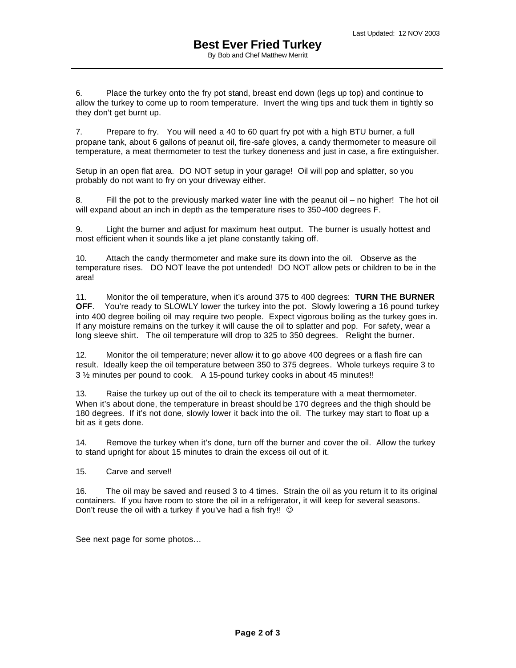6. Place the turkey onto the fry pot stand, breast end down (legs up top) and continue to allow the turkey to come up to room temperature. Invert the wing tips and tuck them in tightly so they don't get burnt up.

7. Prepare to fry. You will need a 40 to 60 quart fry pot with a high BTU burner, a full propane tank, about 6 gallons of peanut oil, fire-safe gloves, a candy thermometer to measure oil temperature, a meat thermometer to test the turkey doneness and just in case, a fire extinguisher.

Setup in an open flat area. DO NOT setup in your garage! Oil will pop and splatter, so you probably do not want to fry on your driveway either.

8. Fill the pot to the previously marked water line with the peanut oil – no higher! The hot oil will expand about an inch in depth as the temperature rises to 350-400 degrees F.

9. Light the burner and adjust for maximum heat output. The burner is usually hottest and most efficient when it sounds like a jet plane constantly taking off.

10. Attach the candy thermometer and make sure its down into the oil. Observe as the temperature rises. DO NOT leave the pot untended! DO NOT allow pets or children to be in the area!

11. Monitor the oil temperature, when it's around 375 to 400 degrees: **TURN THE BURNER OFF**. You're ready to SLOWLY lower the turkey into the pot. Slowly lowering a 16 pound turkey into 400 degree boiling oil may require two people. Expect vigorous boiling as the turkey goes in. If any moisture remains on the turkey it will cause the oil to splatter and pop. For safety, wear a long sleeve shirt. The oil temperature will drop to 325 to 350 degrees. Relight the burner.

12. Monitor the oil temperature; never allow it to go above 400 degrees or a flash fire can result. Ideally keep the oil temperature between 350 to 375 degrees. Whole turkeys require 3 to 3 ½ minutes per pound to cook. A 15-pound turkey cooks in about 45 minutes!!

13. Raise the turkey up out of the oil to check its temperature with a meat thermometer. When it's about done, the temperature in breast should be 170 degrees and the thigh should be 180 degrees. If it's not done, slowly lower it back into the oil. The turkey may start to float up a bit as it gets done.

14. Remove the turkey when it's done, turn off the burner and cover the oil. Allow the turkey to stand upright for about 15 minutes to drain the excess oil out of it.

15. Carve and serve!!

16. The oil may be saved and reused 3 to 4 times. Strain the oil as you return it to its original containers. If you have room to store the oil in a refrigerator, it will keep for several seasons. Don't reuse the oil with a turkey if you've had a fish fry!!  $\circledcirc$ 

See next page for some photos…